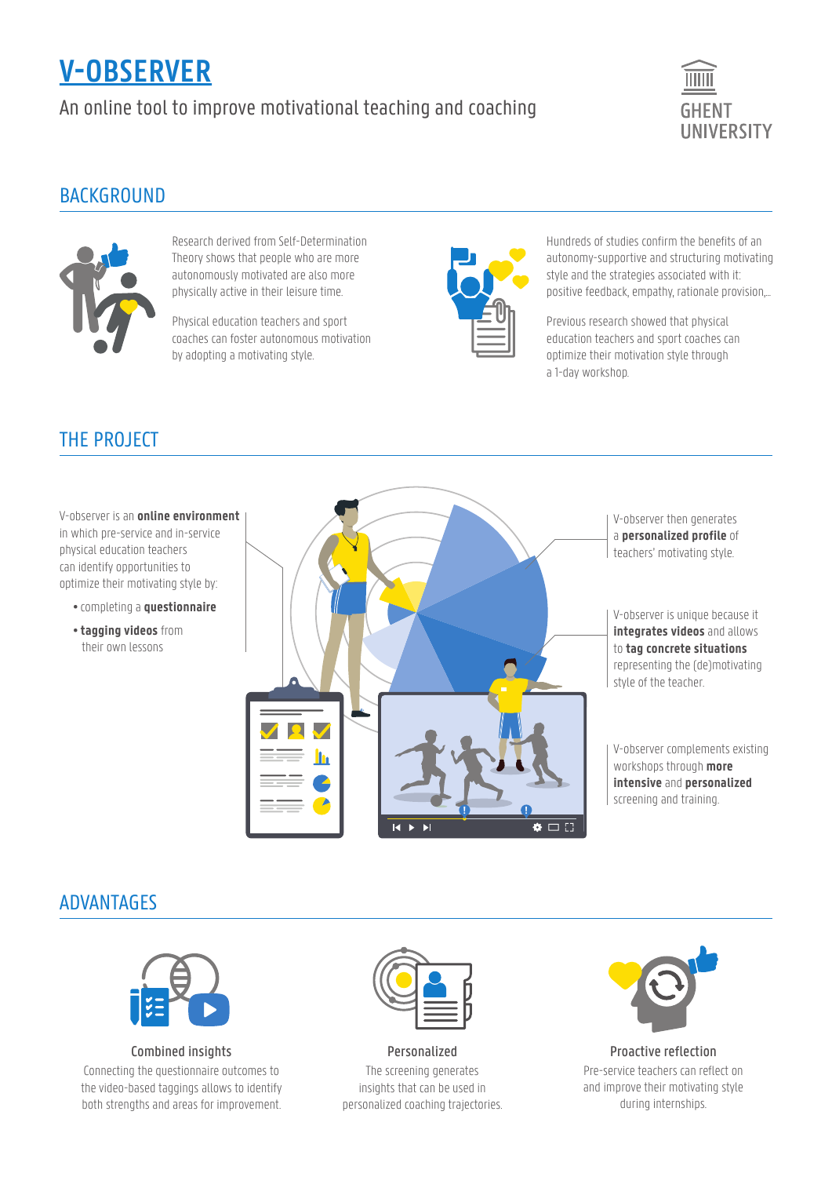# **V-OBSERVER**

An online tool to improve motivational teaching and coaching



#### **BACKGROUND**



Research derived from Self-Determination Theory shows that people who are more autonomously motivated are also more physically active in their leisure time.

Physical education teachers and sport coaches can foster autonomous motivation by adopting a motivating style.



Hundreds of studies confirm the benefits of an autonomy-supportive and structuring motivating style and the strategies associated with it: positive feedback, empathy, rationale provision,...

Previous research showed that physical education teachers and sport coaches can optimize their motivation style through a 1-day workshop.

## THE PROJECT

V-observer is an **online environment** in which pre-service and in-service physical education teachers can identify opportunities to optimize their motivating style by:

- completing a **questionnaire**
- **tagging videos** from their own lessons



V-observer is unique because it **integrates videos** and allows to **tag concrete situations** representing the (de)motivating

V-observer complements existing workshops through **more intensive** and **personalized** screening and training.

## ADVANTAGES



Combined insights Connecting the questionnaire outcomes to the video-based taggings allows to identify

both strengths and areas for improvement.



Personalized The screening generates insights that can be used in personalized coaching trajectories.



Proactive reflection Pre-service teachers can reflect on and improve their motivating style during internships.